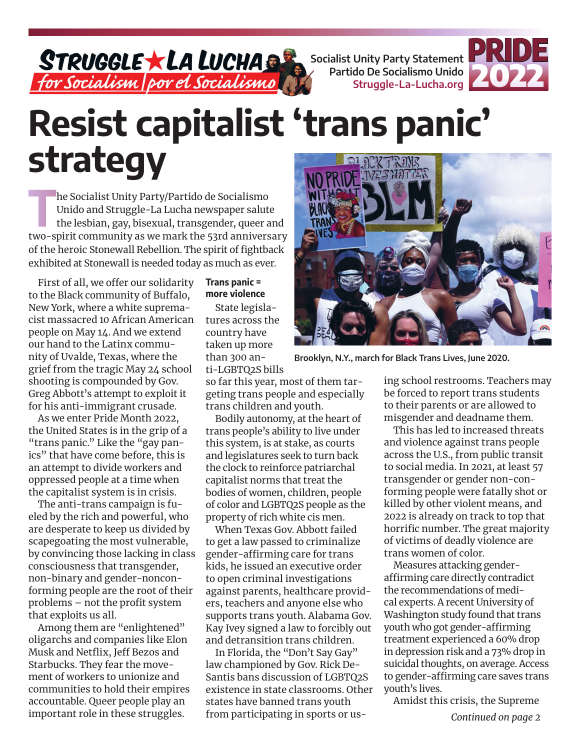**Socialist Unity Party Statement Partido De Socialismo Unido Struggle-La-Lucha.org**



# **Resist capitalist 'trans panic' strategy**

**The Socialist Unity Party/Partido de Socialismo<br>Unido and Struggle-La Lucha newspaper salute<br>the lesbian, gay, bisexual, transgender, queer a<br>two spirit community cause moult be 52nd on its and** Unido and Struggle-La Lucha newspaper salute the lesbian, gay, bisexual, transgender, queer and two-spirit community as we mark the 53rd anniversary of the heroic Stonewall Rebellion. The spirit of fightback exhibited at Stonewall is needed today as much as ever.

First of all, we offer our solidarity to the Black community of Buffalo, New York, where a white supremacist massacred 10 African American people on May 14. And we extend our hand to the Latinx community of Uvalde, Texas, where the grief from the tragic May 24 school shooting is compounded by Gov. Greg Abbott's attempt to exploit it for his anti-immigrant crusade.

As we enter Pride Month 2022, the United States is in the grip of a "trans panic." Like the "gay panics" that have come before, this is an attempt to divide workers and oppressed people at a time when the capitalist system is in crisis.

The anti-trans campaign is fueled by the rich and powerful, who are desperate to keep us divided by scapegoating the most vulnerable, by convincing those lacking in class consciousness that transgender, non-binary and gender-nonconforming people are the root of their problems – not the profit system that exploits us all.

Among them are "enlightened" oligarchs and companies like Elon Musk and Netflix, Jeff Bezos and Starbucks. They fear the movement of workers to unionize and communities to hold their empires accountable. Queer people play an important role in these struggles.

# **Trans panic = more violence**

State legislatures across the country have taken up more than 300 anti-LGBTQ2S bills

so far this year, most of them targeting trans people and especially trans children and youth.

Bodily autonomy, at the heart of trans people's ability to live under this system, is at stake, as courts and legislatures seek to turn back the clock to reinforce patriarchal capitalist norms that treat the bodies of women, children, people of color and LGBTQ2S people as the property of rich white cis men.

When Texas Gov. Abbott failed to get a law passed to criminalize gender-affirming care for trans kids, he issued an executive order to open criminal investigations against parents, healthcare providers, teachers and anyone else who supports trans youth. Alabama Gov. Kay Ivey signed a law to forcibly out and detransition trans children.

In Florida, the "Don't Say Gay" law championed by Gov. Rick De-Santis bans discussion of LGBTQ2S existence in state classrooms. Other states have banned trans youth from participating in sports or us-



**Brooklyn, N.Y., march for Black Trans Lives, June 2020.**

ing school restrooms. Teachers may be forced to report trans students to their parents or are allowed to misgender and deadname them.

This has led to increased threats and violence against trans people across the U.S., from public transit to social media. In 2021, at least 57 transgender or gender non-conforming people were fatally shot or killed by other violent means, and 2022 is already on track to top that horrific number. The great majority of victims of deadly violence are trans women of color.

Measures attacking genderaffirming care directly contradict the recommendations of medical experts. A recent University of Washington study found that trans youth who got gender-affirming treatment experienced a 60% drop in depression risk and a 73% drop in suicidal thoughts, on average. Access to gender-affirming care saves trans youth's lives.

Amidst this crisis, the Supreme

*Continued on page 2*